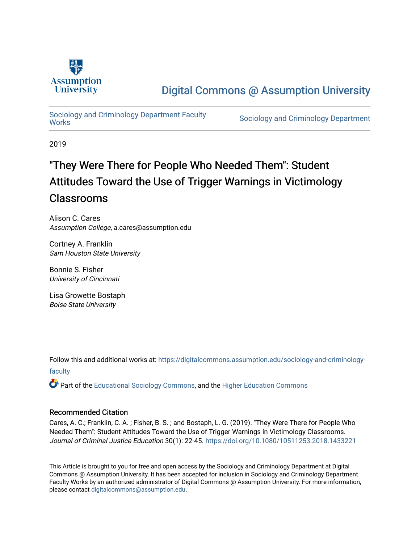

# [Digital Commons @ Assumption University](https://digitalcommons.assumption.edu/)

# Sociology and Criminology Department Faculty<br>Works

Sociology and Criminology Department

2019

# "They Were There for People Who Needed Them": Student Attitudes Toward the Use of Trigger Warnings in Victimology Classrooms

Alison C. Cares Assumption College, a.cares@assumption.edu

Cortney A. Franklin Sam Houston State University

Bonnie S. Fisher University of Cincinnati

Lisa Growette Bostaph Boise State University

Follow this and additional works at: [https://digitalcommons.assumption.edu/sociology-and-criminology](https://digitalcommons.assumption.edu/sociology-and-criminology-faculty?utm_source=digitalcommons.assumption.edu%2Fsociology-and-criminology-faculty%2F4&utm_medium=PDF&utm_campaign=PDFCoverPages)[faculty](https://digitalcommons.assumption.edu/sociology-and-criminology-faculty?utm_source=digitalcommons.assumption.edu%2Fsociology-and-criminology-faculty%2F4&utm_medium=PDF&utm_campaign=PDFCoverPages)

Part of the [Educational Sociology Commons,](http://network.bepress.com/hgg/discipline/1071?utm_source=digitalcommons.assumption.edu%2Fsociology-and-criminology-faculty%2F4&utm_medium=PDF&utm_campaign=PDFCoverPages) and the [Higher Education Commons](http://network.bepress.com/hgg/discipline/1245?utm_source=digitalcommons.assumption.edu%2Fsociology-and-criminology-faculty%2F4&utm_medium=PDF&utm_campaign=PDFCoverPages) 

# Recommended Citation

Cares, A. C.; Franklin, C. A. ; Fisher, B. S. ; and Bostaph, L. G. (2019). "They Were There for People Who Needed Them": Student Attitudes Toward the Use of Trigger Warnings in Victimology Classrooms. Journal of Criminal Justice Education 30(1): 22-45. <https://doi.org/10.1080/10511253.2018.1433221>

This Article is brought to you for free and open access by the Sociology and Criminology Department at Digital Commons @ Assumption University. It has been accepted for inclusion in Sociology and Criminology Department Faculty Works by an authorized administrator of Digital Commons @ Assumption University. For more information, please contact [digitalcommons@assumption.edu](mailto:digitalcommons@assumption.edu).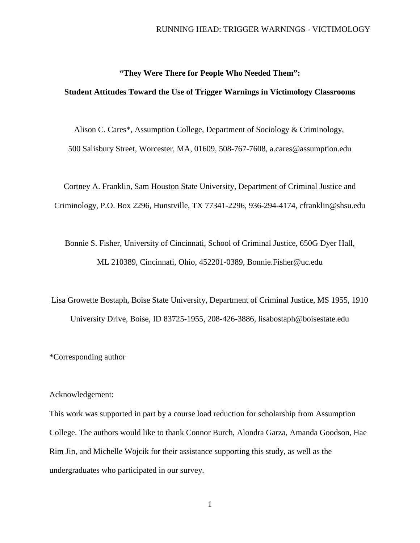# **"They Were There for People Who Needed Them":**

## **Student Attitudes Toward the Use of Trigger Warnings in Victimology Classrooms**

Alison C. Cares\*, Assumption College, Department of Sociology & Criminology, 500 Salisbury Street, Worcester, MA, 01609, 508-767-7608, a.cares@assumption.edu

Cortney A. Franklin, Sam Houston State University, Department of Criminal Justice and Criminology, P.O. Box 2296, Hunstville, TX 77341-2296, 936-294-4174, cfranklin@shsu.edu

Bonnie S. Fisher, University of Cincinnati, School of Criminal Justice, 650G Dyer Hall, ML 210389, Cincinnati, Ohio, 452201-0389, Bonnie.Fisher@uc.edu

Lisa Growette Bostaph, Boise State University, Department of Criminal Justice, MS 1955, 1910 University Drive, Boise, ID 83725-1955, 208-426-3886, lisabostaph@boisestate.edu

\*Corresponding author

#### Acknowledgement:

This work was supported in part by a course load reduction for scholarship from Assumption College. The authors would like to thank Connor Burch, Alondra Garza, Amanda Goodson, Hae Rim Jin, and Michelle Wojcik for their assistance supporting this study, as well as the undergraduates who participated in our survey.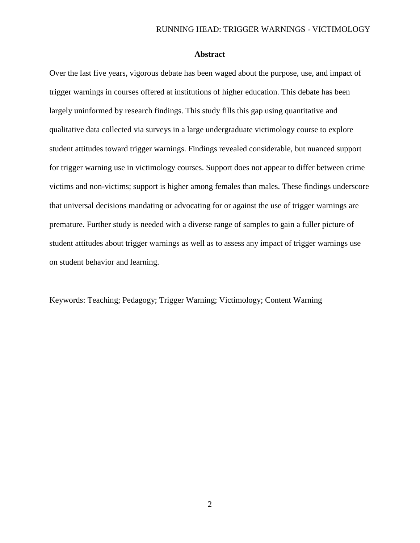# **Abstract**

Over the last five years, vigorous debate has been waged about the purpose, use, and impact of trigger warnings in courses offered at institutions of higher education. This debate has been largely uninformed by research findings. This study fills this gap using quantitative and qualitative data collected via surveys in a large undergraduate victimology course to explore student attitudes toward trigger warnings. Findings revealed considerable, but nuanced support for trigger warning use in victimology courses. Support does not appear to differ between crime victims and non-victims; support is higher among females than males. These findings underscore that universal decisions mandating or advocating for or against the use of trigger warnings are premature. Further study is needed with a diverse range of samples to gain a fuller picture of student attitudes about trigger warnings as well as to assess any impact of trigger warnings use on student behavior and learning.

Keywords: Teaching; Pedagogy; Trigger Warning; Victimology; Content Warning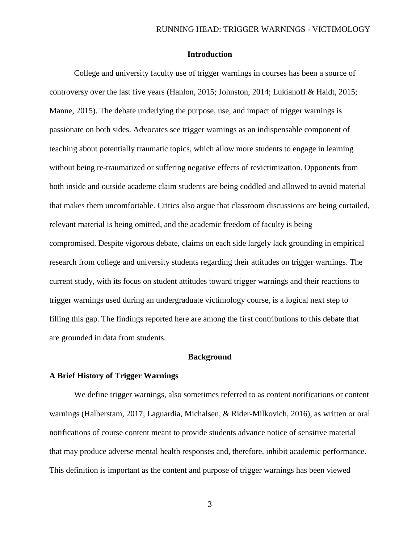# **Introduction**

College and university faculty use of trigger warnings in courses has been a source of controversy over the last five years (Hanlon, 2015; Johnston, 2014; Lukianoff & Haidt, 2015; Manne, 2015). The debate underlying the purpose, use, and impact of trigger warnings is passionate on both sides. Advocates see trigger warnings as an indispensable component of teaching about potentially traumatic topics, which allow more students to engage in learning without being re-traumatized or suffering negative effects of revictimization. Opponents from both inside and outside academe claim students are being coddled and allowed to avoid material that makes them uncomfortable. Critics also argue that classroom discussions are being curtailed, relevant material is being omitted, and the academic freedom of faculty is being compromised. Despite vigorous debate, claims on each side largely lack grounding in empirical research from college and university students regarding their attitudes on trigger warnings. The current study, with its focus on student attitudes toward trigger warnings and their reactions to trigger warnings used during an undergraduate victimology course, is a logical next step to filling this gap. The findings reported here are among the first contributions to this debate that are grounded in data from students.

#### **Background**

#### **A Brief History of Trigger Warnings**

We define trigger warnings, also sometimes referred to as content notifications or content warnings (Halberstam, 2017; Laguardia, Michalsen, & Rider-Milkovich, 2016), as written or oral notifications of course content meant to provide students advance notice of sensitive material that may produce adverse mental health responses and, therefore, inhibit academic performance. This definition is important as the content and purpose of trigger warnings has been viewed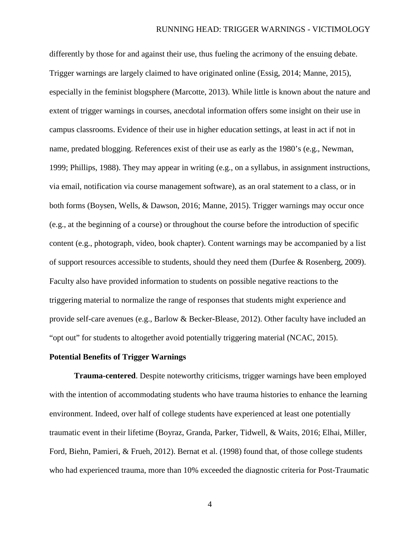differently by those for and against their use, thus fueling the acrimony of the ensuing debate. Trigger warnings are largely claimed to have originated online (Essig, 2014; Manne, 2015), especially in the feminist blogsphere (Marcotte, 2013). While little is known about the nature and extent of trigger warnings in courses, anecdotal information offers some insight on their use in campus classrooms. Evidence of their use in higher education settings, at least in act if not in name, predated blogging. References exist of their use as early as the 1980's (e.g., Newman, 1999; Phillips, 1988). They may appear in writing (e.g., on a syllabus, in assignment instructions, via email, notification via course management software), as an oral statement to a class, or in both forms (Boysen, Wells, & Dawson, 2016; Manne, 2015). Trigger warnings may occur once (e.g., at the beginning of a course) or throughout the course before the introduction of specific content (e.g., photograph, video, book chapter). Content warnings may be accompanied by a list of support resources accessible to students, should they need them (Durfee & Rosenberg, 2009). Faculty also have provided information to students on possible negative reactions to the triggering material to normalize the range of responses that students might experience and provide self-care avenues (e.g., Barlow & Becker-Blease, 2012). Other faculty have included an "opt out" for students to altogether avoid potentially triggering material (NCAC, 2015).

#### **Potential Benefits of Trigger Warnings**

**Trauma-centered**. Despite noteworthy criticisms, trigger warnings have been employed with the intention of accommodating students who have trauma histories to enhance the learning environment. Indeed, over half of college students have experienced at least one potentially traumatic event in their lifetime (Boyraz, Granda, Parker, Tidwell, & Waits, 2016; Elhai, Miller, Ford, Biehn, Pamieri, & Frueh, 2012). Bernat et al. (1998) found that, of those college students who had experienced trauma, more than 10% exceeded the diagnostic criteria for Post-Traumatic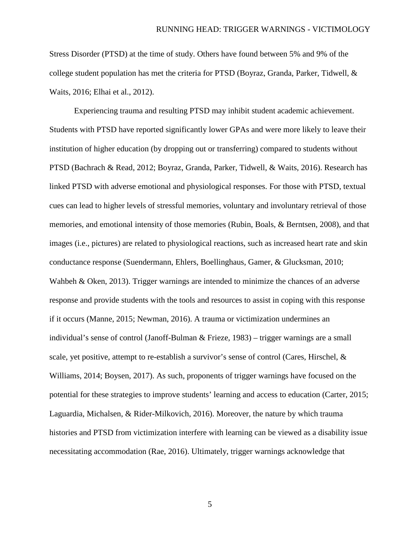Stress Disorder (PTSD) at the time of study. Others have found between 5% and 9% of the college student population has met the criteria for PTSD (Boyraz, Granda, Parker, Tidwell, & Waits, 2016; Elhai et al., 2012).

Experiencing trauma and resulting PTSD may inhibit student academic achievement. Students with PTSD have reported significantly lower GPAs and were more likely to leave their institution of higher education (by dropping out or transferring) compared to students without PTSD (Bachrach & Read, 2012; Boyraz, Granda, Parker, Tidwell, & Waits, 2016). Research has linked PTSD with adverse emotional and physiological responses. For those with PTSD, textual cues can lead to higher levels of stressful memories, voluntary and involuntary retrieval of those memories, and emotional intensity of those memories (Rubin, Boals, & Berntsen, 2008), and that images (i.e., pictures) are related to physiological reactions, such as increased heart rate and skin conductance response (Suendermann, Ehlers, Boellinghaus, Gamer, & Glucksman, 2010; Wahbeh & Oken, 2013). Trigger warnings are intended to minimize the chances of an adverse response and provide students with the tools and resources to assist in coping with this response if it occurs (Manne, 2015; Newman, 2016). A trauma or victimization undermines an individual's sense of control (Janoff-Bulman & Frieze, 1983) – trigger warnings are a small scale, yet positive, attempt to re-establish a survivor's sense of control (Cares, Hirschel, & Williams, 2014; Boysen, 2017). As such, proponents of trigger warnings have focused on the potential for these strategies to improve students' learning and access to education (Carter, 2015; Laguardia, Michalsen, & Rider-Milkovich, 2016). Moreover, the nature by which trauma histories and PTSD from victimization interfere with learning can be viewed as a disability issue necessitating accommodation (Rae, 2016). Ultimately, trigger warnings acknowledge that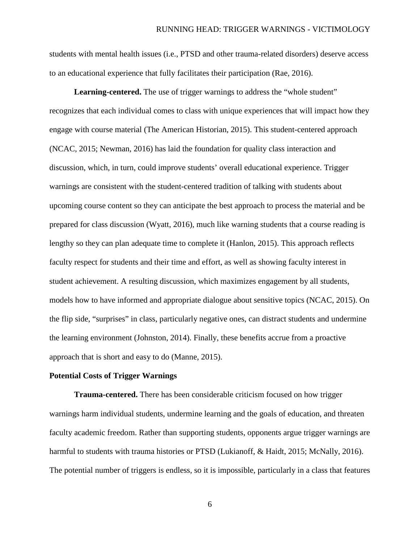students with mental health issues (i.e., PTSD and other trauma-related disorders) deserve access to an educational experience that fully facilitates their participation (Rae, 2016).

**Learning-centered.** The use of trigger warnings to address the "whole student" recognizes that each individual comes to class with unique experiences that will impact how they engage with course material (The American Historian, 2015). This student-centered approach (NCAC, 2015; Newman, 2016) has laid the foundation for quality class interaction and discussion, which, in turn, could improve students' overall educational experience. Trigger warnings are consistent with the student-centered tradition of talking with students about upcoming course content so they can anticipate the best approach to process the material and be prepared for class discussion (Wyatt, 2016), much like warning students that a course reading is lengthy so they can plan adequate time to complete it (Hanlon, 2015). This approach reflects faculty respect for students and their time and effort, as well as showing faculty interest in student achievement. A resulting discussion, which maximizes engagement by all students, models how to have informed and appropriate dialogue about sensitive topics (NCAC, 2015). On the flip side, "surprises" in class, particularly negative ones, can distract students and undermine the learning environment (Johnston, 2014). Finally, these benefits accrue from a proactive approach that is short and easy to do (Manne, 2015).

### **Potential Costs of Trigger Warnings**

**Trauma-centered.** There has been considerable criticism focused on how trigger warnings harm individual students, undermine learning and the goals of education, and threaten faculty academic freedom. Rather than supporting students, opponents argue trigger warnings are harmful to students with trauma histories or PTSD (Lukianoff, & Haidt, 2015; McNally, 2016). The potential number of triggers is endless, so it is impossible, particularly in a class that features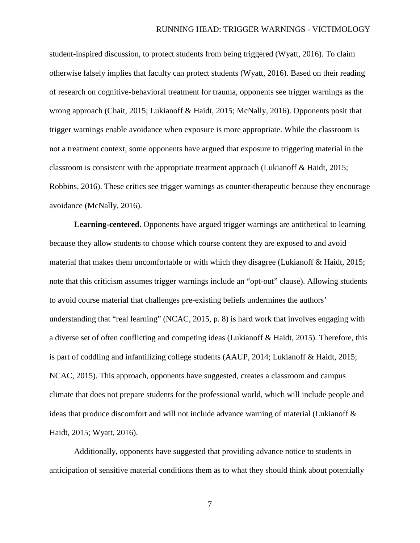student-inspired discussion, to protect students from being triggered (Wyatt, 2016). To claim otherwise falsely implies that faculty can protect students (Wyatt, 2016). Based on their reading of research on cognitive-behavioral treatment for trauma, opponents see trigger warnings as the wrong approach (Chait, 2015; Lukianoff & Haidt, 2015; McNally, 2016). Opponents posit that trigger warnings enable avoidance when exposure is more appropriate. While the classroom is not a treatment context, some opponents have argued that exposure to triggering material in the classroom is consistent with the appropriate treatment approach (Lukianoff & Haidt, 2015; Robbins, 2016). These critics see trigger warnings as counter-therapeutic because they encourage avoidance (McNally, 2016).

**Learning-centered.** Opponents have argued trigger warnings are antithetical to learning because they allow students to choose which course content they are exposed to and avoid material that makes them uncomfortable or with which they disagree (Lukianoff & Haidt, 2015; note that this criticism assumes trigger warnings include an "opt-out" clause). Allowing students to avoid course material that challenges pre-existing beliefs undermines the authors' understanding that "real learning" (NCAC, 2015, p. 8) is hard work that involves engaging with a diverse set of often conflicting and competing ideas (Lukianoff & Haidt, 2015). Therefore, this is part of coddling and infantilizing college students (AAUP, 2014; Lukianoff & Haidt, 2015; NCAC, 2015). This approach, opponents have suggested, creates a classroom and campus climate that does not prepare students for the professional world, which will include people and ideas that produce discomfort and will not include advance warning of material (Lukianoff & Haidt, 2015; Wyatt, 2016).

Additionally, opponents have suggested that providing advance notice to students in anticipation of sensitive material conditions them as to what they should think about potentially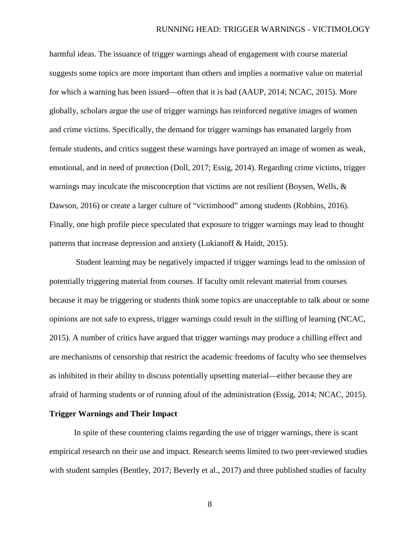harmful ideas. The issuance of trigger warnings ahead of engagement with course material suggests some topics are more important than others and implies a normative value on material for which a warning has been issued—often that it is bad (AAUP, 2014; NCAC, 2015). More globally, scholars argue the use of trigger warnings has reinforced negative images of women and crime victims. Specifically, the demand for trigger warnings has emanated largely from female students, and critics suggest these warnings have portrayed an image of women as weak, emotional, and in need of protection (Doll, 2017; Essig, 2014). Regarding crime victims, trigger warnings may inculcate the misconception that victims are not resilient (Boysen, Wells,  $\&$ Dawson, 2016) or create a larger culture of "victimhood" among students (Robbins, 2016). Finally, one high profile piece speculated that exposure to trigger warnings may lead to thought patterns that increase depression and anxiety (Lukianoff & Haidt, 2015).

Student learning may be negatively impacted if trigger warnings lead to the omission of potentially triggering material from courses. If faculty omit relevant material from courses because it may be triggering or students think some topics are unacceptable to talk about or some opinions are not safe to express, trigger warnings could result in the stifling of learning (NCAC, 2015). A number of critics have argued that trigger warnings may produce a chilling effect and are mechanisms of censorship that restrict the academic freedoms of faculty who see themselves as inhibited in their ability to discuss potentially upsetting material—either because they are afraid of harming students or of running afoul of the administration (Essig, 2014; NCAC, 2015).

# **Trigger Warnings and Their Impact**

In spite of these countering claims regarding the use of trigger warnings, there is scant empirical research on their use and impact. Research seems limited to two peer-reviewed studies with student samples (Bentley, 2017; Beverly et al., 2017) and three published studies of faculty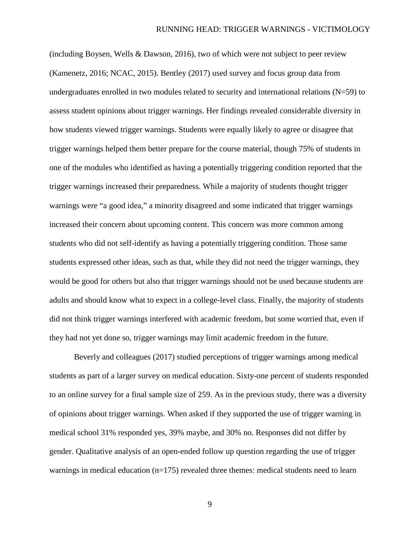(including Boysen, Wells & Dawson, 2016), two of which were not subject to peer review (Kamenetz, 2016; NCAC, 2015). Bentley (2017) used survey and focus group data from undergraduates enrolled in two modules related to security and international relations (N=59) to assess student opinions about trigger warnings. Her findings revealed considerable diversity in how students viewed trigger warnings. Students were equally likely to agree or disagree that trigger warnings helped them better prepare for the course material, though 75% of students in one of the modules who identified as having a potentially triggering condition reported that the trigger warnings increased their preparedness. While a majority of students thought trigger warnings were "a good idea," a minority disagreed and some indicated that trigger warnings increased their concern about upcoming content. This concern was more common among students who did not self-identify as having a potentially triggering condition. Those same students expressed other ideas, such as that, while they did not need the trigger warnings, they would be good for others but also that trigger warnings should not be used because students are adults and should know what to expect in a college-level class. Finally, the majority of students did not think trigger warnings interfered with academic freedom, but some worried that, even if they had not yet done so, trigger warnings may limit academic freedom in the future.

Beverly and colleagues (2017) studied perceptions of trigger warnings among medical students as part of a larger survey on medical education. Sixty-one percent of students responded to an online survey for a final sample size of 259. As in the previous study, there was a diversity of opinions about trigger warnings. When asked if they supported the use of trigger warning in medical school 31% responded yes, 39% maybe, and 30% no. Responses did not differ by gender. Qualitative analysis of an open-ended follow up question regarding the use of trigger warnings in medical education  $(n=175)$  revealed three themes: medical students need to learn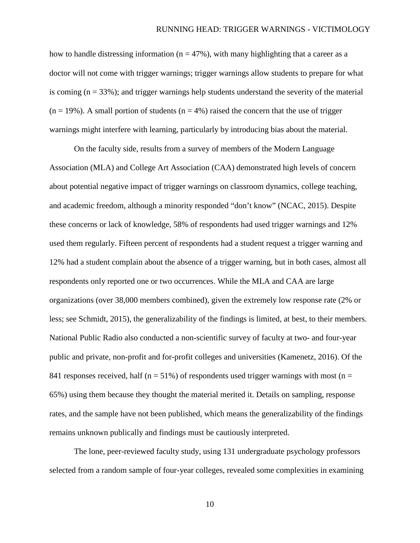how to handle distressing information ( $n = 47\%$ ), with many highlighting that a career as a doctor will not come with trigger warnings; trigger warnings allow students to prepare for what is coming  $(n = 33\%)$ ; and trigger warnings help students understand the severity of the material  $(n = 19\%)$ . A small portion of students  $(n = 4\%)$  raised the concern that the use of trigger warnings might interfere with learning, particularly by introducing bias about the material.

On the faculty side, results from a survey of members of the Modern Language Association (MLA) and College Art Association (CAA) demonstrated high levels of concern about potential negative impact of trigger warnings on classroom dynamics, college teaching, and academic freedom, although a minority responded "don't know" (NCAC, 2015). Despite these concerns or lack of knowledge, 58% of respondents had used trigger warnings and 12% used them regularly. Fifteen percent of respondents had a student request a trigger warning and 12% had a student complain about the absence of a trigger warning, but in both cases, almost all respondents only reported one or two occurrences. While the MLA and CAA are large organizations (over 38,000 members combined), given the extremely low response rate (2% or less; see Schmidt, 2015), the generalizability of the findings is limited, at best, to their members. National Public Radio also conducted a non-scientific survey of faculty at two- and four-year public and private, non-profit and for-profit colleges and universities (Kamenetz, 2016). Of the 841 responses received, half ( $n = 51\%$ ) of respondents used trigger warnings with most ( $n =$ 65%) using them because they thought the material merited it. Details on sampling, response rates, and the sample have not been published, which means the generalizability of the findings remains unknown publically and findings must be cautiously interpreted.

The lone, peer-reviewed faculty study, using 131 undergraduate psychology professors selected from a random sample of four-year colleges, revealed some complexities in examining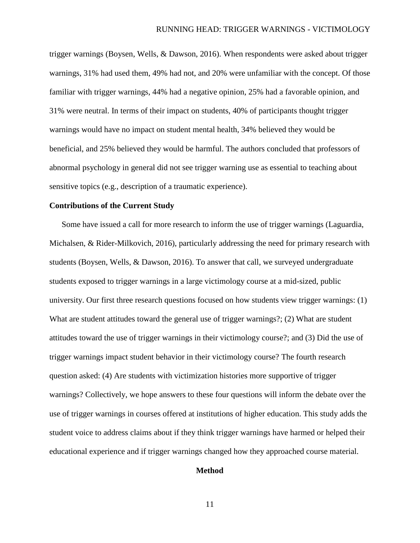trigger warnings (Boysen, Wells, & Dawson, 2016). When respondents were asked about trigger warnings, 31% had used them, 49% had not, and 20% were unfamiliar with the concept. Of those familiar with trigger warnings, 44% had a negative opinion, 25% had a favorable opinion, and 31% were neutral. In terms of their impact on students, 40% of participants thought trigger warnings would have no impact on student mental health, 34% believed they would be beneficial, and 25% believed they would be harmful. The authors concluded that professors of abnormal psychology in general did not see trigger warning use as essential to teaching about sensitive topics (e.g., description of a traumatic experience).

#### **Contributions of the Current Study**

Some have issued a call for more research to inform the use of trigger warnings (Laguardia, Michalsen, & Rider-Milkovich, 2016), particularly addressing the need for primary research with students (Boysen, Wells, & Dawson, 2016). To answer that call, we surveyed undergraduate students exposed to trigger warnings in a large victimology course at a mid-sized, public university. Our first three research questions focused on how students view trigger warnings: (1) What are student attitudes toward the general use of trigger warnings?; (2) What are student attitudes toward the use of trigger warnings in their victimology course?; and (3) Did the use of trigger warnings impact student behavior in their victimology course? The fourth research question asked: (4) Are students with victimization histories more supportive of trigger warnings? Collectively, we hope answers to these four questions will inform the debate over the use of trigger warnings in courses offered at institutions of higher education. This study adds the student voice to address claims about if they think trigger warnings have harmed or helped their educational experience and if trigger warnings changed how they approached course material.

## **Method**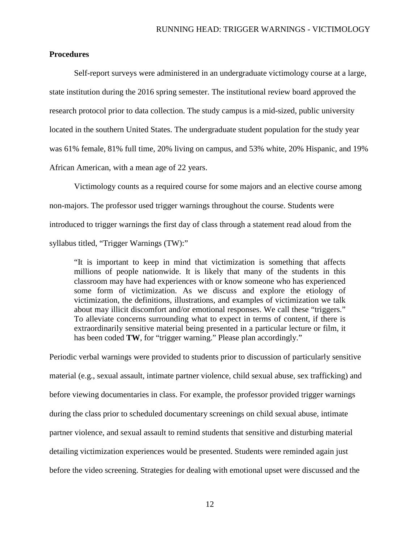# **Procedures**

Self-report surveys were administered in an undergraduate victimology course at a large, state institution during the 2016 spring semester. The institutional review board approved the research protocol prior to data collection. The study campus is a mid-sized, public university located in the southern United States. The undergraduate student population for the study year was 61% female, 81% full time, 20% living on campus, and 53% white, 20% Hispanic, and 19% African American, with a mean age of 22 years.

Victimology counts as a required course for some majors and an elective course among non-majors. The professor used trigger warnings throughout the course. Students were introduced to trigger warnings the first day of class through a statement read aloud from the syllabus titled, "Trigger Warnings (TW):"

"It is important to keep in mind that victimization is something that affects millions of people nationwide. It is likely that many of the students in this classroom may have had experiences with or know someone who has experienced some form of victimization. As we discuss and explore the etiology of victimization, the definitions, illustrations, and examples of victimization we talk about may illicit discomfort and/or emotional responses. We call these "triggers." To alleviate concerns surrounding what to expect in terms of content, if there is extraordinarily sensitive material being presented in a particular lecture or film, it has been coded **TW**, for "trigger warning." Please plan accordingly."

Periodic verbal warnings were provided to students prior to discussion of particularly sensitive material (e.g., sexual assault, intimate partner violence, child sexual abuse, sex trafficking) and before viewing documentaries in class. For example, the professor provided trigger warnings during the class prior to scheduled documentary screenings on child sexual abuse, intimate partner violence, and sexual assault to remind students that sensitive and disturbing material detailing victimization experiences would be presented. Students were reminded again just before the video screening. Strategies for dealing with emotional upset were discussed and the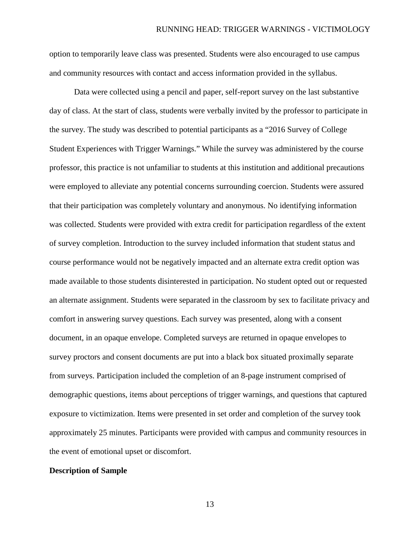option to temporarily leave class was presented. Students were also encouraged to use campus and community resources with contact and access information provided in the syllabus.

Data were collected using a pencil and paper, self-report survey on the last substantive day of class. At the start of class, students were verbally invited by the professor to participate in the survey. The study was described to potential participants as a "2016 Survey of College Student Experiences with Trigger Warnings." While the survey was administered by the course professor, this practice is not unfamiliar to students at this institution and additional precautions were employed to alleviate any potential concerns surrounding coercion. Students were assured that their participation was completely voluntary and anonymous. No identifying information was collected. Students were provided with extra credit for participation regardless of the extent of survey completion. Introduction to the survey included information that student status and course performance would not be negatively impacted and an alternate extra credit option was made available to those students disinterested in participation. No student opted out or requested an alternate assignment. Students were separated in the classroom by sex to facilitate privacy and comfort in answering survey questions. Each survey was presented, along with a consent document, in an opaque envelope. Completed surveys are returned in opaque envelopes to survey proctors and consent documents are put into a black box situated proximally separate from surveys. Participation included the completion of an 8-page instrument comprised of demographic questions, items about perceptions of trigger warnings, and questions that captured exposure to victimization. Items were presented in set order and completion of the survey took approximately 25 minutes. Participants were provided with campus and community resources in the event of emotional upset or discomfort.

#### **Description of Sample**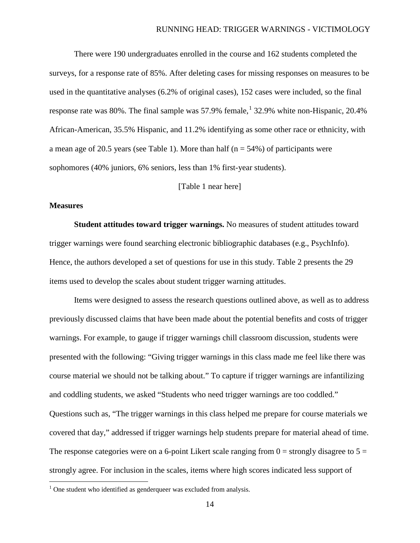There were 190 undergraduates enrolled in the course and 162 students completed the surveys, for a response rate of 85%. After deleting cases for missing responses on measures to be used in the quantitative analyses (6.2% of original cases), 152 cases were included, so the final response rate was 80%. The final sample was 57.9% female,  $132.9\%$  $132.9\%$  white non-Hispanic, 20.4% African-American, 35.5% Hispanic, and 11.2% identifying as some other race or ethnicity, with a mean age of 20.5 years (see Table 1). More than half ( $n = 54\%$ ) of participants were sophomores (40% juniors, 6% seniors, less than 1% first-year students).

[Table 1 near here]

#### **Measures**

**Student attitudes toward trigger warnings.** No measures of student attitudes toward trigger warnings were found searching electronic bibliographic databases (e.g., PsychInfo). Hence, the authors developed a set of questions for use in this study. Table 2 presents the 29 items used to develop the scales about student trigger warning attitudes.

Items were designed to assess the research questions outlined above, as well as to address previously discussed claims that have been made about the potential benefits and costs of trigger warnings. For example, to gauge if trigger warnings chill classroom discussion, students were presented with the following: "Giving trigger warnings in this class made me feel like there was course material we should not be talking about." To capture if trigger warnings are infantilizing and coddling students, we asked "Students who need trigger warnings are too coddled." Questions such as, "The trigger warnings in this class helped me prepare for course materials we covered that day," addressed if trigger warnings help students prepare for material ahead of time. The response categories were on a 6-point Likert scale ranging from  $0 =$  strongly disagree to  $5 =$ strongly agree. For inclusion in the scales, items where high scores indicated less support of

<span id="page-14-0"></span> $1$  One student who identified as genderqueer was excluded from analysis.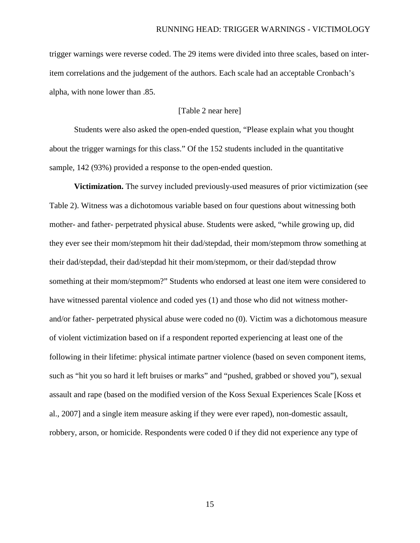trigger warnings were reverse coded. The 29 items were divided into three scales, based on interitem correlations and the judgement of the authors. Each scale had an acceptable Cronbach's alpha, with none lower than .85.

# [Table 2 near here]

Students were also asked the open-ended question, "Please explain what you thought about the trigger warnings for this class." Of the 152 students included in the quantitative sample, 142 (93%) provided a response to the open-ended question.

**Victimization.** The survey included previously-used measures of prior victimization (see Table 2). Witness was a dichotomous variable based on four questions about witnessing both mother- and father- perpetrated physical abuse. Students were asked, "while growing up, did they ever see their mom/stepmom hit their dad/stepdad, their mom/stepmom throw something at their dad/stepdad, their dad/stepdad hit their mom/stepmom, or their dad/stepdad throw something at their mom/stepmom?" Students who endorsed at least one item were considered to have witnessed parental violence and coded yes (1) and those who did not witness motherand/or father- perpetrated physical abuse were coded no (0). Victim was a dichotomous measure of violent victimization based on if a respondent reported experiencing at least one of the following in their lifetime: physical intimate partner violence (based on seven component items, such as "hit you so hard it left bruises or marks" and "pushed, grabbed or shoved you"), sexual assault and rape (based on the modified version of the Koss Sexual Experiences Scale [Koss et al., 2007] and a single item measure asking if they were ever raped), non-domestic assault, robbery, arson, or homicide. Respondents were coded 0 if they did not experience any type of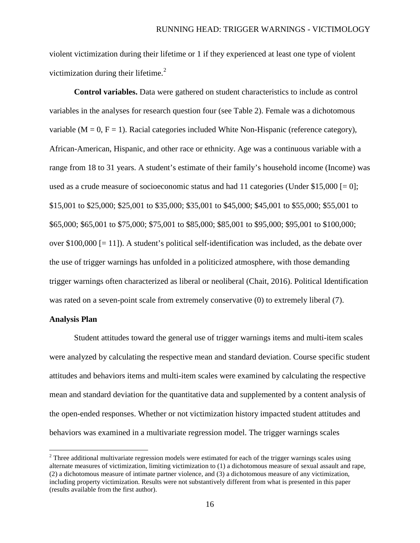violent victimization during their lifetime or 1 if they experienced at least one type of violent victimization during their lifetime. $2$ 

**Control variables.** Data were gathered on student characteristics to include as control variables in the analyses for research question four (see Table 2). Female was a dichotomous variable ( $M = 0$ ,  $F = 1$ ). Racial categories included White Non-Hispanic (reference category), African-American, Hispanic, and other race or ethnicity. Age was a continuous variable with a range from 18 to 31 years. A student's estimate of their family's household income (Income) was used as a crude measure of socioeconomic status and had 11 categories (Under \$15,000  $[= 0]$ ; \$15,001 to \$25,000; \$25,001 to \$35,000; \$35,001 to \$45,000; \$45,001 to \$55,000; \$55,001 to \$65,000; \$65,001 to \$75,000; \$75,001 to \$85,000; \$85,001 to \$95,000; \$95,001 to \$100,000; over  $$100,000$  [= 11]). A student's political self-identification was included, as the debate over the use of trigger warnings has unfolded in a politicized atmosphere, with those demanding trigger warnings often characterized as liberal or neoliberal (Chait, 2016). Political Identification was rated on a seven-point scale from extremely conservative (0) to extremely liberal (7).

#### **Analysis Plan**

Student attitudes toward the general use of trigger warnings items and multi-item scales were analyzed by calculating the respective mean and standard deviation. Course specific student attitudes and behaviors items and multi-item scales were examined by calculating the respective mean and standard deviation for the quantitative data and supplemented by a content analysis of the open-ended responses. Whether or not victimization history impacted student attitudes and behaviors was examined in a multivariate regression model. The trigger warnings scales

<span id="page-16-0"></span><sup>&</sup>lt;sup>2</sup> Three additional multivariate regression models were estimated for each of the trigger warnings scales using alternate measures of victimization, limiting victimization to (1) a dichotomous measure of sexual assault and rape, (2) a dichotomous measure of intimate partner violence, and (3) a dichotomous measure of any victimization, including property victimization. Results were not substantively different from what is presented in this paper (results available from the first author).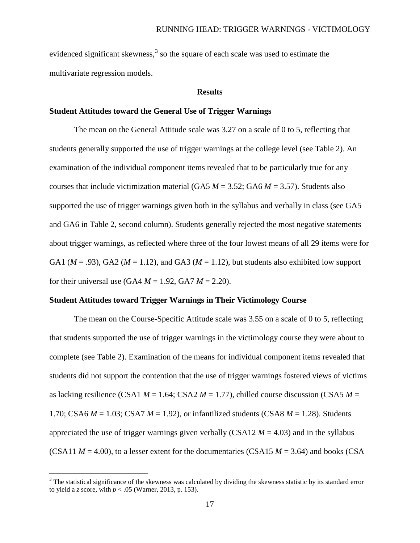evidenced significant skewness,<sup>[3](#page-17-0)</sup> so the square of each scale was used to estimate the multivariate regression models.

#### **Results**

#### **Student Attitudes toward the General Use of Trigger Warnings**

The mean on the General Attitude scale was 3.27 on a scale of 0 to 5, reflecting that students generally supported the use of trigger warnings at the college level (see Table 2). An examination of the individual component items revealed that to be particularly true for any courses that include victimization material (GA5  $M = 3.52$ ; GA6  $M = 3.57$ ). Students also supported the use of trigger warnings given both in the syllabus and verbally in class (see GA5 and GA6 in Table 2, second column). Students generally rejected the most negative statements about trigger warnings, as reflected where three of the four lowest means of all 29 items were for GA1 ( $M = .93$ ), GA2 ( $M = 1.12$ ), and GA3 ( $M = 1.12$ ), but students also exhibited low support for their universal use  $(GA4 M = 1.92, GA7 M = 2.20)$ .

#### **Student Attitudes toward Trigger Warnings in Their Victimology Course**

The mean on the Course-Specific Attitude scale was 3.55 on a scale of 0 to 5, reflecting that students supported the use of trigger warnings in the victimology course they were about to complete (see Table 2). Examination of the means for individual component items revealed that students did not support the contention that the use of trigger warnings fostered views of victims as lacking resilience (CSA1  $M = 1.64$ ; CSA2  $M = 1.77$ ), chilled course discussion (CSA5  $M =$ 1.70; CSA6 *M* = 1.03; CSA7 *M* = 1.92), or infantilized students (CSA8 *M* = 1.28). Students appreciated the use of trigger warnings given verbally (CSA12  $M = 4.03$ ) and in the syllabus (CSA11  $M = 4.00$ ), to a lesser extent for the documentaries (CSA15  $M = 3.64$ ) and books (CSA

<span id="page-17-0"></span><sup>&</sup>lt;sup>3</sup> The statistical significance of the skewness was calculated by dividing the skewness statistic by its standard error to yield a *z* score, with *p* < .05 (Warner, 2013, p. 153).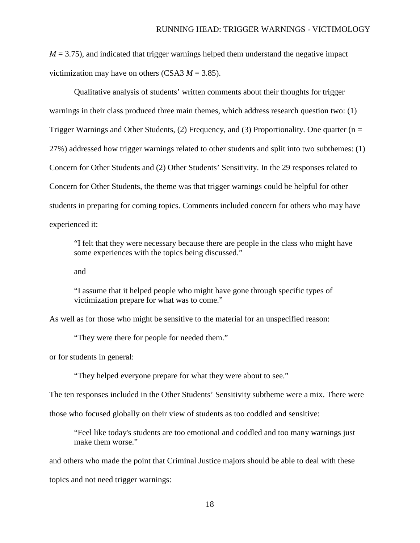$M = 3.75$ ), and indicated that trigger warnings helped them understand the negative impact victimization may have on others (CSA3  $M = 3.85$ ).

Qualitative analysis of students' written comments about their thoughts for trigger warnings in their class produced three main themes, which address research question two: (1) Trigger Warnings and Other Students, (2) Frequency, and (3) Proportionality. One quarter ( $n =$ 27%) addressed how trigger warnings related to other students and split into two subthemes: (1) Concern for Other Students and (2) Other Students' Sensitivity. In the 29 responses related to Concern for Other Students, the theme was that trigger warnings could be helpful for other students in preparing for coming topics. Comments included concern for others who may have experienced it:

"I felt that they were necessary because there are people in the class who might have some experiences with the topics being discussed."

and

"I assume that it helped people who might have gone through specific types of victimization prepare for what was to come."

As well as for those who might be sensitive to the material for an unspecified reason:

"They were there for people for needed them."

or for students in general:

"They helped everyone prepare for what they were about to see."

The ten responses included in the Other Students' Sensitivity subtheme were a mix. There were

those who focused globally on their view of students as too coddled and sensitive:

"Feel like today's students are too emotional and coddled and too many warnings just make them worse."

and others who made the point that Criminal Justice majors should be able to deal with these topics and not need trigger warnings: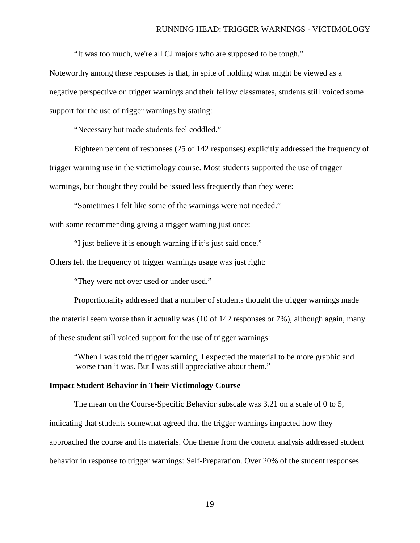"It was too much, we're all CJ majors who are supposed to be tough."

Noteworthy among these responses is that, in spite of holding what might be viewed as a negative perspective on trigger warnings and their fellow classmates, students still voiced some support for the use of trigger warnings by stating:

"Necessary but made students feel coddled."

Eighteen percent of responses (25 of 142 responses) explicitly addressed the frequency of trigger warning use in the victimology course. Most students supported the use of trigger warnings, but thought they could be issued less frequently than they were:

"Sometimes I felt like some of the warnings were not needed." with some recommending giving a trigger warning just once:

"I just believe it is enough warning if it's just said once."

Others felt the frequency of trigger warnings usage was just right:

"They were not over used or under used."

Proportionality addressed that a number of students thought the trigger warnings made the material seem worse than it actually was (10 of 142 responses or 7%), although again, many of these student still voiced support for the use of trigger warnings:

"When I was told the trigger warning, I expected the material to be more graphic and worse than it was. But I was still appreciative about them."

#### **Impact Student Behavior in Their Victimology Course**

The mean on the Course-Specific Behavior subscale was 3.21 on a scale of 0 to 5, indicating that students somewhat agreed that the trigger warnings impacted how they approached the course and its materials. One theme from the content analysis addressed student behavior in response to trigger warnings: Self-Preparation. Over 20% of the student responses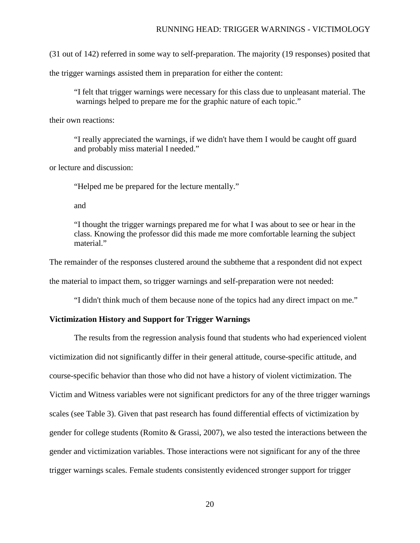(31 out of 142) referred in some way to self-preparation. The majority (19 responses) posited that

the trigger warnings assisted them in preparation for either the content:

"I felt that trigger warnings were necessary for this class due to unpleasant material. The warnings helped to prepare me for the graphic nature of each topic."

their own reactions:

"I really appreciated the warnings, if we didn't have them I would be caught off guard and probably miss material I needed."

or lecture and discussion:

"Helped me be prepared for the lecture mentally."

and

"I thought the trigger warnings prepared me for what I was about to see or hear in the class. Knowing the professor did this made me more comfortable learning the subject material"

The remainder of the responses clustered around the subtheme that a respondent did not expect

the material to impact them, so trigger warnings and self-preparation were not needed:

"I didn't think much of them because none of the topics had any direct impact on me."

## **Victimization History and Support for Trigger Warnings**

The results from the regression analysis found that students who had experienced violent victimization did not significantly differ in their general attitude, course-specific attitude, and course-specific behavior than those who did not have a history of violent victimization. The Victim and Witness variables were not significant predictors for any of the three trigger warnings scales (see Table 3). Given that past research has found differential effects of victimization by gender for college students (Romito & Grassi, 2007), we also tested the interactions between the gender and victimization variables. Those interactions were not significant for any of the three trigger warnings scales. Female students consistently evidenced stronger support for trigger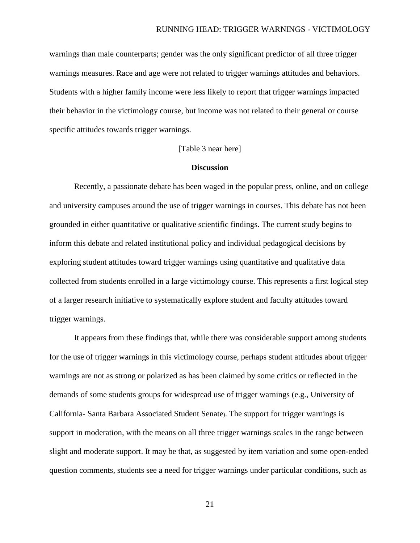warnings than male counterparts; gender was the only significant predictor of all three trigger warnings measures. Race and age were not related to trigger warnings attitudes and behaviors. Students with a higher family income were less likely to report that trigger warnings impacted their behavior in the victimology course, but income was not related to their general or course specific attitudes towards trigger warnings.

# [Table 3 near here]

# **Discussion**

Recently, a passionate debate has been waged in the popular press, online, and on college and university campuses around the use of trigger warnings in courses. This debate has not been grounded in either quantitative or qualitative scientific findings. The current study begins to inform this debate and related institutional policy and individual pedagogical decisions by exploring student attitudes toward trigger warnings using quantitative and qualitative data collected from students enrolled in a large victimology course. This represents a first logical step of a larger research initiative to systematically explore student and faculty attitudes toward trigger warnings.

It appears from these findings that, while there was considerable support among students for the use of trigger warnings in this victimology course, perhaps student attitudes about trigger warnings are not as strong or polarized as has been claimed by some critics or reflected in the demands of some students groups for widespread use of trigger warnings (e.g., University of California- Santa Barbara Associated Student Senate). The support for trigger warnings is support in moderation, with the means on all three trigger warnings scales in the range between slight and moderate support. It may be that, as suggested by item variation and some open-ended question comments, students see a need for trigger warnings under particular conditions, such as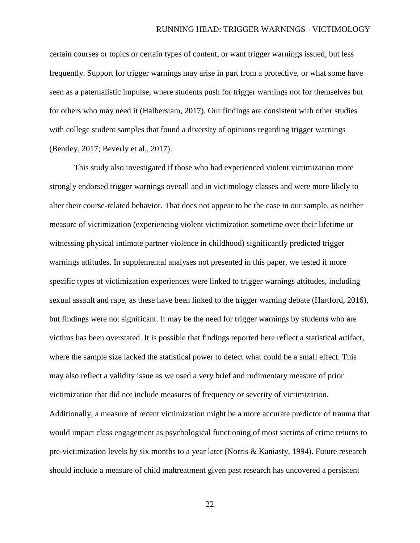certain courses or topics or certain types of content, or want trigger warnings issued, but less frequently. Support for trigger warnings may arise in part from a protective, or what some have seen as a paternalistic impulse, where students push for trigger warnings not for themselves but for others who may need it (Halberstam, 2017). Our findings are consistent with other studies with college student samples that found a diversity of opinions regarding trigger warnings (Bentley, 2017; Beverly et al., 2017).

This study also investigated if those who had experienced violent victimization more strongly endorsed trigger warnings overall and in victimology classes and were more likely to alter their course-related behavior. That does not appear to be the case in our sample, as neither measure of victimization (experiencing violent victimization sometime over their lifetime or witnessing physical intimate partner violence in childhood) significantly predicted trigger warnings attitudes. In supplemental analyses not presented in this paper, we tested if more specific types of victimization experiences were linked to trigger warnings attitudes, including sexual assault and rape, as these have been linked to the trigger warning debate (Hartford, 2016), but findings were not significant. It may be the need for trigger warnings by students who are victims has been overstated. It is possible that findings reported here reflect a statistical artifact, where the sample size lacked the statistical power to detect what could be a small effect. This may also reflect a validity issue as we used a very brief and rudimentary measure of prior victimization that did not include measures of frequency or severity of victimization. Additionally, a measure of recent victimization might be a more accurate predictor of trauma that would impact class engagement as psychological functioning of most victims of crime returns to pre-victimization levels by six months to a year later (Norris & Kaniasty, 1994). Future research should include a measure of child maltreatment given past research has uncovered a persistent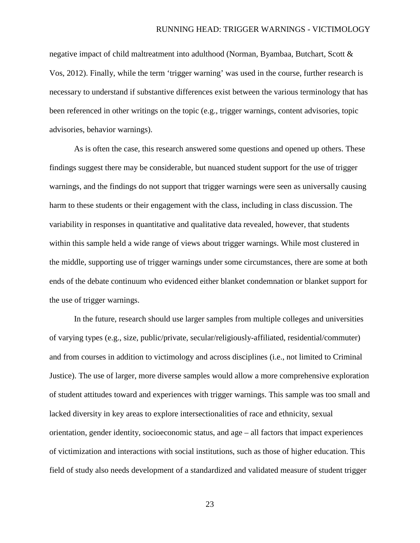negative impact of child maltreatment into adulthood (Norman, Byambaa, Butchart, Scott & Vos, 2012). Finally, while the term 'trigger warning' was used in the course, further research is necessary to understand if substantive differences exist between the various terminology that has been referenced in other writings on the topic (e.g., trigger warnings, content advisories, topic advisories, behavior warnings).

As is often the case, this research answered some questions and opened up others. These findings suggest there may be considerable, but nuanced student support for the use of trigger warnings, and the findings do not support that trigger warnings were seen as universally causing harm to these students or their engagement with the class, including in class discussion. The variability in responses in quantitative and qualitative data revealed, however, that students within this sample held a wide range of views about trigger warnings. While most clustered in the middle, supporting use of trigger warnings under some circumstances, there are some at both ends of the debate continuum who evidenced either blanket condemnation or blanket support for the use of trigger warnings.

In the future, research should use larger samples from multiple colleges and universities of varying types (e.g., size, public/private, secular/religiously-affiliated, residential/commuter) and from courses in addition to victimology and across disciplines (i.e., not limited to Criminal Justice). The use of larger, more diverse samples would allow a more comprehensive exploration of student attitudes toward and experiences with trigger warnings. This sample was too small and lacked diversity in key areas to explore intersectionalities of race and ethnicity, sexual orientation, gender identity, socioeconomic status, and age – all factors that impact experiences of victimization and interactions with social institutions, such as those of higher education. This field of study also needs development of a standardized and validated measure of student trigger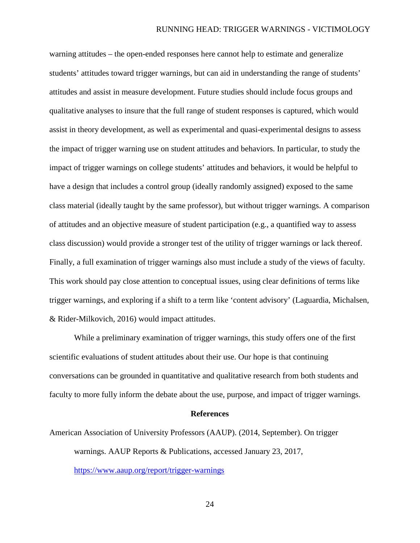warning attitudes – the open-ended responses here cannot help to estimate and generalize students' attitudes toward trigger warnings, but can aid in understanding the range of students' attitudes and assist in measure development. Future studies should include focus groups and qualitative analyses to insure that the full range of student responses is captured, which would assist in theory development, as well as experimental and quasi-experimental designs to assess the impact of trigger warning use on student attitudes and behaviors. In particular, to study the impact of trigger warnings on college students' attitudes and behaviors, it would be helpful to have a design that includes a control group (ideally randomly assigned) exposed to the same class material (ideally taught by the same professor), but without trigger warnings. A comparison of attitudes and an objective measure of student participation (e.g., a quantified way to assess class discussion) would provide a stronger test of the utility of trigger warnings or lack thereof. Finally, a full examination of trigger warnings also must include a study of the views of faculty. This work should pay close attention to conceptual issues, using clear definitions of terms like trigger warnings, and exploring if a shift to a term like 'content advisory' (Laguardia, Michalsen, & Rider-Milkovich, 2016) would impact attitudes.

While a preliminary examination of trigger warnings, this study offers one of the first scientific evaluations of student attitudes about their use. Our hope is that continuing conversations can be grounded in quantitative and qualitative research from both students and faculty to more fully inform the debate about the use, purpose, and impact of trigger warnings.

#### **References**

American Association of University Professors (AAUP). (2014, September). On trigger warnings. AAUP Reports & Publications, accessed January 23, 2017, <https://www.aaup.org/report/trigger-warnings>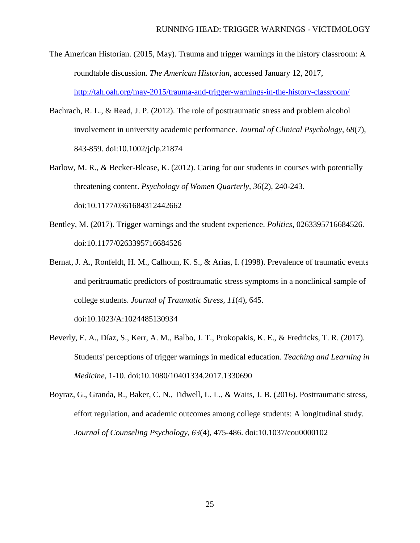- The American Historian. (2015, May). Trauma and trigger warnings in the history classroom: A roundtable discussion. *The American Historian*, accessed January 12, 2017, <http://tah.oah.org/may-2015/trauma-and-trigger-warnings-in-the-history-classroom/>
- Bachrach, R. L., & Read, J. P. (2012). The role of posttraumatic stress and problem alcohol involvement in university academic performance. *Journal of Clinical Psychology, 68*(7), 843-859. doi:10.1002/jclp.21874
- Barlow, M. R., & Becker-Blease, K. (2012). Caring for our students in courses with potentially threatening content. *Psychology of Women Quarterly, 36*(2), 240-243. doi:10.1177/0361684312442662
- Bentley, M. (2017). Trigger warnings and the student experience. *Politics*, 0263395716684526. doi:10.1177/0263395716684526
- Bernat, J. A., Ronfeldt, H. M., Calhoun, K. S., & Arias, I. (1998). Prevalence of traumatic events and peritraumatic predictors of posttraumatic stress symptoms in a nonclinical sample of college students. *Journal of Traumatic Stress, 11*(4), 645.

doi:10.1023/A:1024485130934

- Beverly, E. A., Díaz, S., Kerr, A. M., Balbo, J. T., Prokopakis, K. E., & Fredricks, T. R. (2017). Students' perceptions of trigger warnings in medical education. *Teaching and Learning in Medicine*, 1-10. doi:10.1080/10401334.2017.1330690
- Boyraz, G., Granda, R., Baker, C. N., Tidwell, L. L., & Waits, J. B. (2016). Posttraumatic stress, effort regulation, and academic outcomes among college students: A longitudinal study. *Journal of Counseling Psychology, 63*(4), 475-486. doi:10.1037/cou0000102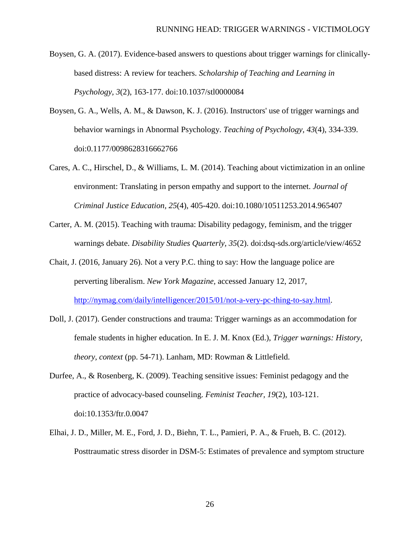Boysen, G. A. (2017). Evidence-based answers to questions about trigger warnings for clinicallybased distress: A review for teachers. *Scholarship of Teaching and Learning in Psychology, 3*(2), 163-177. doi:10.1037/stl0000084

- Boysen, G. A., Wells, A. M., & Dawson, K. J. (2016). Instructors' use of trigger warnings and behavior warnings in Abnormal Psychology. *Teaching of Psychology, 43*(4), 334-339. doi:0.1177/0098628316662766
- Cares, A. C., Hirschel, D., & Williams, L. M. (2014). Teaching about victimization in an online environment: Translating in person empathy and support to the internet. *Journal of Criminal Justice Education, 25*(4), 405-420. doi:10.1080/10511253.2014.965407
- Carter, A. M. (2015). Teaching with trauma: Disability pedagogy, feminism, and the trigger warnings debate. *Disability Studies Quarterly, 35*(2). doi:dsq-sds.org/article/view/4652
- Chait, J. (2016, January 26). Not a very P.C. thing to say: How the language police are perverting liberalism. *New York Magazine,* accessed January 12, 2017, [http://nymag.com/daily/intelligencer/2015/01/not-a-very-pc-thing-to-say.html.](http://nymag.com/daily/intelligencer/2015/01/not-a-very-pc-thing-to-say.html)
- Doll, J. (2017). Gender constructions and trauma: Trigger warnings as an accommodation for female students in higher education. In E. J. M. Knox (Ed.), *Trigger warnings: History, theory, context* (pp. 54-71). Lanham, MD: Rowman & Littlefield.
- Durfee, A., & Rosenberg, K. (2009). Teaching sensitive issues: Feminist pedagogy and the practice of advocacy-based counseling. *Feminist Teacher, 19*(2), 103-121. doi:10.1353/ftr.0.0047
- Elhai, J. D., Miller, M. E., Ford, J. D., Biehn, T. L., Pamieri, P. A., & Frueh, B. C. (2012). Posttraumatic stress disorder in DSM-5: Estimates of prevalence and symptom structure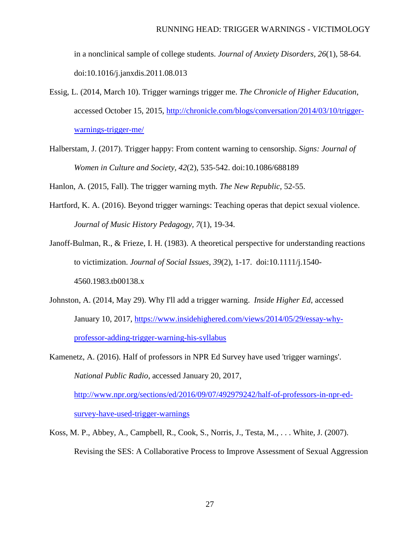in a nonclinical sample of college students. *Journal of Anxiety Disorders, 26*(1), 58-64. doi:10.1016/j.janxdis.2011.08.013

- Essig, L. (2014, March 10). Trigger warnings trigger me. *The Chronicle of Higher Education*, accessed October 15, 2015, [http://chronicle.com/blogs/conversation/2014/03/10/trigger](http://chronicle.com/blogs/conversation/2014/03/10/trigger-warnings-trigger-me/)[warnings-trigger-me/](http://chronicle.com/blogs/conversation/2014/03/10/trigger-warnings-trigger-me/)
- Halberstam, J. (2017). Trigger happy: From content warning to censorship. *Signs: Journal of Women in Culture and Society, 42*(2), 535-542. doi:10.1086/688189

Hanlon, A. (2015, Fall). The trigger warning myth. *The New Republic,* 52-55.

Hartford, K. A. (2016). Beyond trigger warnings: Teaching operas that depict sexual violence. *Journal of Music History Pedagogy, 7*(1), 19-34.

Janoff-Bulman, R., & Frieze, I. H. (1983). A theoretical perspective for understanding reactions to victimization. *Journal of Social Issues, 39*(2), 1-17. doi:10.1111/j.1540- 4560.1983.tb00138.x

- Johnston, A. (2014, May 29). Why I'll add a trigger warning. *Inside Higher Ed*, accessed January 10, 2017, [https://www.insidehighered.com/views/2014/05/29/essay-why](https://www.insidehighered.com/views/2014/05/29/essay-why-professor-adding-trigger-warning-his-syllabus)[professor-adding-trigger-warning-his-syllabus](https://www.insidehighered.com/views/2014/05/29/essay-why-professor-adding-trigger-warning-his-syllabus)
- Kamenetz, A. (2016). Half of professors in NPR Ed Survey have used 'trigger warnings'. *National Public Radio*, accessed January 20, 2017, [http://www.npr.org/sections/ed/2016/09/07/492979242/half-of-professors-in-npr-ed-](http://www.npr.org/sections/ed/2016/09/07/492979242/half-of-professors-in-npr-ed-survey-have-used-trigger-warnings)

[survey-have-used-trigger-warnings](http://www.npr.org/sections/ed/2016/09/07/492979242/half-of-professors-in-npr-ed-survey-have-used-trigger-warnings)

Koss, M. P., Abbey, A., Campbell, R., Cook, S., Norris, J., Testa, M., . . . White, J. (2007). Revising the SES: A Collaborative Process to Improve Assessment of Sexual Aggression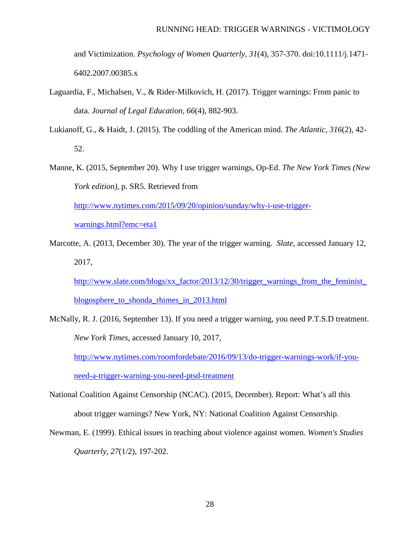and Victimization. *Psychology of Women Quarterly, 31*(4), 357-370. doi:10.1111/j.1471- 6402.2007.00385.x

- Laguardia, F., Michalsen, V., & Rider-Milkovich, H. (2017). Trigger warnings: From panic to data. *Journal of Legal Education, 66*(4), 882-903.
- Lukianoff, G., & Haidt, J. (2015). The coddling of the American mind. *The Atlantic, 316*(2), 42- 52.
- Manne, K. (2015, September 20). Why I use trigger warnings, Op-Ed. *The New York Times (New York edition),* p. SR5. Retrieved from

[http://www.nytimes.com/2015/09/20/opinion/sunday/why-i-use-trigger-](http://www.nytimes.com/2015/09/20/opinion/sunday/why-i-use-trigger-warnings.html?emc=eta1)

[warnings.html?emc=eta1](http://www.nytimes.com/2015/09/20/opinion/sunday/why-i-use-trigger-warnings.html?emc=eta1)

Marcotte, A. (2013, December 30). The year of the trigger warning. *Slate*, accessed January 12, 2017,

[http://www.slate.com/blogs/xx\\_factor/2013/12/30/trigger\\_warnings\\_from\\_the\\_feminist\\_](http://www.slate.com/blogs/xx_factor/2013/12/30/trigger_warnings_from_the_feminist_blogosphere_to_shonda_rhimes_in_2013.html) [blogosphere\\_to\\_shonda\\_rhimes\\_in\\_2013.html](http://www.slate.com/blogs/xx_factor/2013/12/30/trigger_warnings_from_the_feminist_blogosphere_to_shonda_rhimes_in_2013.html)

McNally, R. J. (2016, September 13). If you need a trigger warning, you need P.T.S.D treatment. *New York Times*, accessed January 10, 2017,

[http://www.nytimes.com/roomfordebate/2016/09/13/do-trigger-warnings-work/if-you-](http://www.nytimes.com/roomfordebate/2016/09/13/do-trigger-warnings-work/if-you-need-a-trigger-warning-you-need-ptsd-treatment)

[need-a-trigger-warning-you-need-ptsd-treatment](http://www.nytimes.com/roomfordebate/2016/09/13/do-trigger-warnings-work/if-you-need-a-trigger-warning-you-need-ptsd-treatment)

- National Coalition Against Censorship (NCAC). (2015, December). Report: What's all this about trigger warnings? New York, NY: National Coalition Against Censorship.
- Newman, E. (1999). Ethical issues in teaching about violence against women. *Women's Studies Quarterly, 27*(1/2), 197-202.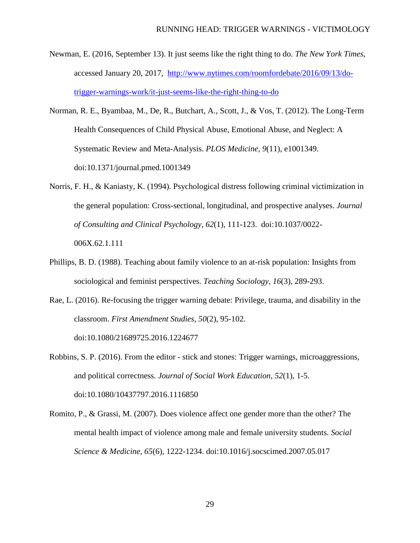- Newman, E. (2016, September 13). It just seems like the right thing to do. *The New York Times*, accessed January 20, 2017, [http://www.nytimes.com/roomfordebate/2016/09/13/do](http://www.nytimes.com/roomfordebate/2016/09/13/do-trigger-warnings-work/it-just-seems-like-the-right-thing-to-do)[trigger-warnings-work/it-just-seems-like-the-right-thing-to-do](http://www.nytimes.com/roomfordebate/2016/09/13/do-trigger-warnings-work/it-just-seems-like-the-right-thing-to-do)
- Norman, R. E., Byambaa, M., De, R., Butchart, A., Scott, J., & Vos, T. (2012). The Long-Term Health Consequences of Child Physical Abuse, Emotional Abuse, and Neglect: A Systematic Review and Meta-Analysis. *PLOS Medicine, 9*(11), e1001349. doi:10.1371/journal.pmed.1001349
- Norris, F. H., & Kaniasty, K. (1994). Psychological distress following criminal victimization in the general population: Cross-sectional, longitudinal, and prospective analyses. *Journal of Consulting and Clinical Psychology, 62*(1), 111-123. doi:10.1037/0022- 006X.62.1.111
- Phillips, B. D. (1988). Teaching about family violence to an at-risk population: Insights from sociological and feminist perspectives. *Teaching Sociology, 16*(3), 289-293.
- Rae, L. (2016). Re-focusing the trigger warning debate: Privilege, trauma, and disability in the classroom. *First Amendment Studies, 50*(2), 95-102. doi:10.1080/21689725.2016.1224677

Robbins, S. P. (2016). From the editor - stick and stones: Trigger warnings, microaggressions, and political correctness. *Journal of Social Work Education, 52*(1), 1-5. doi:10.1080/10437797.2016.1116850

Romito, P., & Grassi, M. (2007). Does violence affect one gender more than the other? The mental health impact of violence among male and female university students. *Social Science & Medicine, 65*(6), 1222-1234. doi:10.1016/j.socscimed.2007.05.017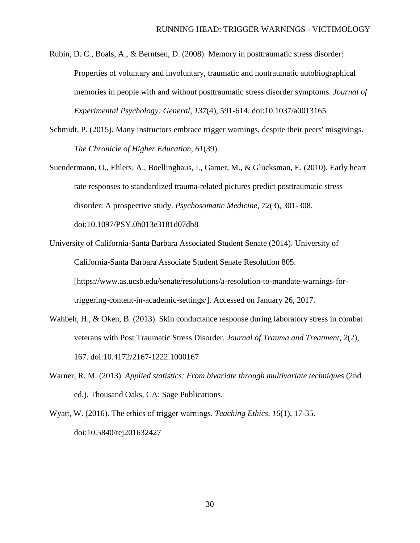Rubin, D. C., Boals, A., & Berntsen, D. (2008). Memory in posttraumatic stress disorder: Properties of voluntary and involuntary, traumatic and nontraumatic autobiographical memories in people with and without posttraumatic stress disorder symptoms. *Journal of Experimental Psychology: General, 137*(4), 591-614. doi:10.1037/a0013165

- Schmidt, P. (2015). Many instructors embrace trigger warnings, despite their peers' misgivings. *The Chronicle of Higher Education, 61*(39).
- Suendermann, O., Ehlers, A., Boellinghaus, I., Gamer, M., & Glucksman, E. (2010). Early heart rate responses to standardized trauma-related pictures predict posttraumatic stress disorder: A prospective study. *Psychosomatic Medicine, 72*(3), 301-308. doi:10.1097/PSY.0b013e3181d07db8

University of California-Santa Barbara Associated Student Senate (2014). University of California-Santa Barbara Associate Student Senate Resolution 805. [https://www.as.ucsb.edu/senate/resolutions/a-resolution-to-mandate-warnings-fortriggering-content-in-academic-settings/]. Accessed on January 26, 2017.

- Wahbeh, H., & Oken, B. (2013). Skin conductance response during laboratory stress in combat veterans with Post Traumatic Stress Disorder. *Journal of Trauma and Treatment, 2*(2), 167. doi:10.4172/2167-1222.1000167
- Warner, R. M. (2013). *Applied statistics: From bivariate through multivariate techniques* (2nd ed.). Thousand Oaks, CA: Sage Publications.
- Wyatt, W. (2016). The ethics of trigger warnings. *Teaching Ethics, 16*(1), 17-35. doi:10.5840/tej201632427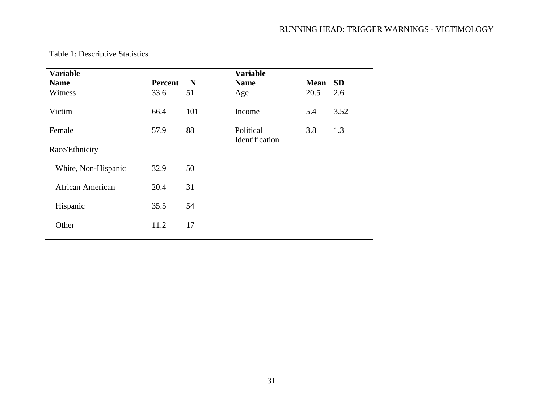| <b>Variable</b>         |         |     | <b>Variable</b>             |             |           |
|-------------------------|---------|-----|-----------------------------|-------------|-----------|
| <b>Name</b>             | Percent | N   | <b>Name</b>                 | <b>Mean</b> | <b>SD</b> |
| Witness                 | 33.6    | 51  | Age                         | 20.5        | 2.6       |
| Victim                  | 66.4    | 101 | Income                      | 5.4         | 3.52      |
| Female                  | 57.9    | 88  | Political<br>Identification | 3.8         | 1.3       |
| Race/Ethnicity          |         |     |                             |             |           |
| White, Non-Hispanic     | 32.9    | 50  |                             |             |           |
| <b>African American</b> | 20.4    | 31  |                             |             |           |
| Hispanic                | 35.5    | 54  |                             |             |           |
| Other                   | 11.2    | 17  |                             |             |           |
|                         |         |     |                             |             |           |

# Table 1: Descriptive Statistics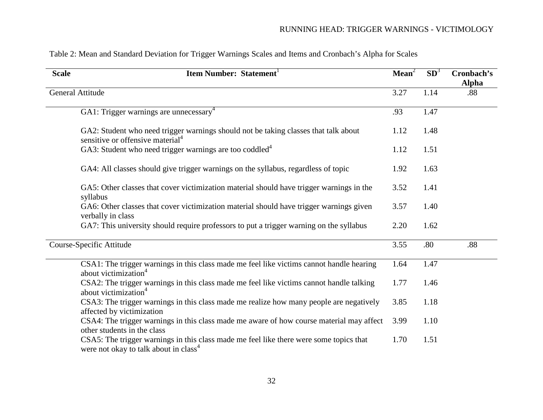| <b>Scale</b>             | <b>Item Number: Statement</b>                                                                                                               | Mean <sup>2</sup> | SD <sup>3</sup> | Cronbach's<br><b>Alpha</b> |
|--------------------------|---------------------------------------------------------------------------------------------------------------------------------------------|-------------------|-----------------|----------------------------|
|                          | <b>General Attitude</b>                                                                                                                     | 3.27              | 1.14            | .88                        |
|                          | GA1: Trigger warnings are unnecessary <sup>4</sup>                                                                                          | .93               | 1.47            |                            |
|                          | GA2: Student who need trigger warnings should not be taking classes that talk about<br>sensitive or offensive material <sup>4</sup>         | 1.12              | 1.48            |                            |
|                          | GA3: Student who need trigger warnings are too coddled <sup>4</sup>                                                                         | 1.12              | 1.51            |                            |
|                          | GA4: All classes should give trigger warnings on the syllabus, regardless of topic                                                          | 1.92              | 1.63            |                            |
|                          | GA5: Other classes that cover victimization material should have trigger warnings in the<br>syllabus                                        | 3.52              | 1.41            |                            |
|                          | GA6: Other classes that cover victimization material should have trigger warnings given<br>verbally in class                                | 3.57              | 1.40            |                            |
|                          | GA7: This university should require professors to put a trigger warning on the syllabus                                                     | 2.20              | 1.62            |                            |
| Course-Specific Attitude |                                                                                                                                             | 3.55              | .80             | .88                        |
|                          | CSA1: The trigger warnings in this class made me feel like victims cannot handle hearing<br>about victimization <sup>4</sup>                | 1.64              | 1.47            |                            |
|                          | CSA2: The trigger warnings in this class made me feel like victims cannot handle talking<br>about victimization <sup>4</sup>                | 1.77              | 1.46            |                            |
|                          | CSA3: The trigger warnings in this class made me realize how many people are negatively<br>affected by victimization                        | 3.85              | 1.18            |                            |
|                          | CSA4: The trigger warnings in this class made me aware of how course material may affect<br>other students in the class                     | 3.99              | 1.10            |                            |
|                          | CSA5: The trigger warnings in this class made me feel like there were some topics that<br>were not okay to talk about in class <sup>4</sup> | 1.70              | 1.51            |                            |

# Table 2: Mean and Standard Deviation for Trigger Warnings Scales and Items and Cronbach's Alpha for Scales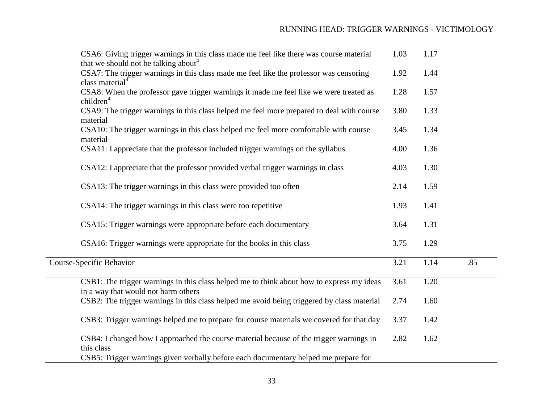| CSA6: Giving trigger warnings in this class made me feel like there was course material                                                                                   | 1.03 | 1.17 |     |
|---------------------------------------------------------------------------------------------------------------------------------------------------------------------------|------|------|-----|
| that we should not be talking about <sup>4</sup><br>CSA7: The trigger warnings in this class made me feel like the professor was censoring<br>class material <sup>4</sup> | 1.92 | 1.44 |     |
| CSA8: When the professor gave trigger warnings it made me feel like we were treated as                                                                                    | 1.28 | 1.57 |     |
| children <sup>4</sup><br>CSA9: The trigger warnings in this class helped me feel more prepared to deal with course                                                        | 3.80 | 1.33 |     |
| material<br>CSA10: The trigger warnings in this class helped me feel more comfortable with course<br>material                                                             | 3.45 | 1.34 |     |
| CSA11: I appreciate that the professor included trigger warnings on the syllabus                                                                                          | 4.00 | 1.36 |     |
| CSA12: I appreciate that the professor provided verbal trigger warnings in class                                                                                          | 4.03 | 1.30 |     |
| CSA13: The trigger warnings in this class were provided too often                                                                                                         | 2.14 | 1.59 |     |
| CSA14: The trigger warnings in this class were too repetitive                                                                                                             | 1.93 | 1.41 |     |
| CSA15: Trigger warnings were appropriate before each documentary                                                                                                          | 3.64 | 1.31 |     |
| CSA16: Trigger warnings were appropriate for the books in this class                                                                                                      | 3.75 | 1.29 |     |
| Course-Specific Behavior                                                                                                                                                  | 3.21 | 1.14 | .85 |
| CSB1: The trigger warnings in this class helped me to think about how to express my ideas<br>in a way that would not harm others                                          | 3.61 | 1.20 |     |
| CSB2: The trigger warnings in this class helped me avoid being triggered by class material                                                                                | 2.74 | 1.60 |     |
| CSB3: Trigger warnings helped me to prepare for course materials we covered for that day                                                                                  | 3.37 | 1.42 |     |
| CSB4: I changed how I approached the course material because of the trigger warnings in<br>this class                                                                     | 2.82 | 1.62 |     |
| CSB5: Trigger warnings given verbally before each documentary helped me prepare for                                                                                       |      |      |     |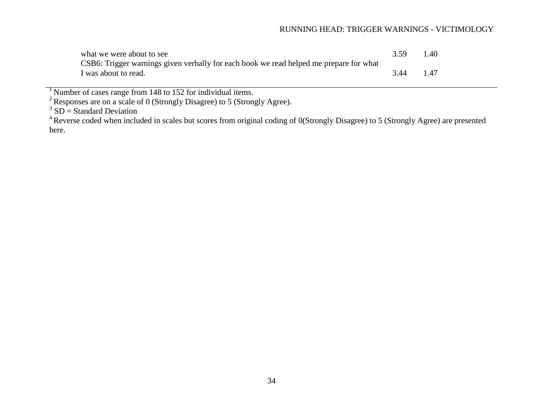| what we were about to see                                                              | 3.59 | 1.40 |
|----------------------------------------------------------------------------------------|------|------|
| CSB6: Trigger warnings given verbally for each book we read helped me prepare for what |      |      |
| I was about to read.                                                                   | 3.44 | 1.47 |

<sup>1</sup> Number of cases range from 148 to 152 for individual items.<br><sup>2</sup> Responses are on a scale of 0 (Strongly Disagree) to 5 (Strongly Agree).<br><sup>3</sup> SD = Standard Deviation

<sup>&</sup>lt;sup>4</sup> Reverse coded when included in scales but scores from original coding of 0(Strongly Disagree) to 5 (Strongly Agree) are presented here.